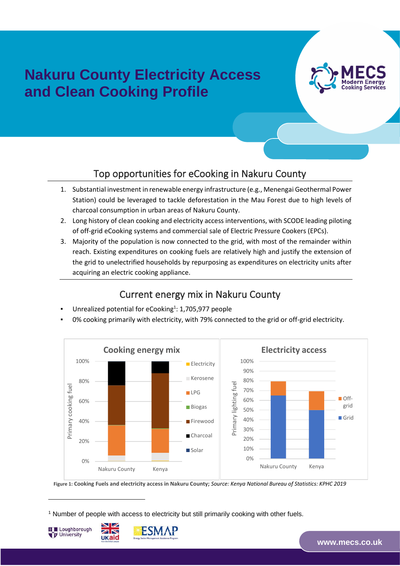# **Nakuru County Electricity Access and Clean Cooking Profile**



#### Top opportunities for eCooking in Nakuru County

- 1. Substantial investment in renewable energy infrastructure (e.g., Menengai Geothermal Power Station) could be leveraged to tackle deforestation in the Mau Forest due to high levels of charcoal consumption in urban areas of Nakuru County.
- 2. Long history of clean cooking and electricity access interventions, with SCODE leading piloting of off-grid eCooking systems and commercial sale of Electric Pressure Cookers (EPCs).
- 3. Majority of the population is now connected to the grid, with most of the remainder within reach. Existing expenditures on cooking fuels are relatively high and justify the extension of the grid to unelectrified households by repurposing as expenditures on electricity units after acquiring an electric cooking appliance.

#### Current energy mix in Nakuru County

- Unrealized potential for eCooking<sup>1</sup>: 1,705,977 people
- 0% cooking primarily with electricity, with 79% connected to the grid or off-grid electricity.



**Figure 1: Cooking Fuels and electricity access in Nakuru County;** *Source: Kenya National Bureau of Statistics: KPHC 2019*

<sup>1</sup> Number of people with access to electricity but still primarily cooking with other fuels.





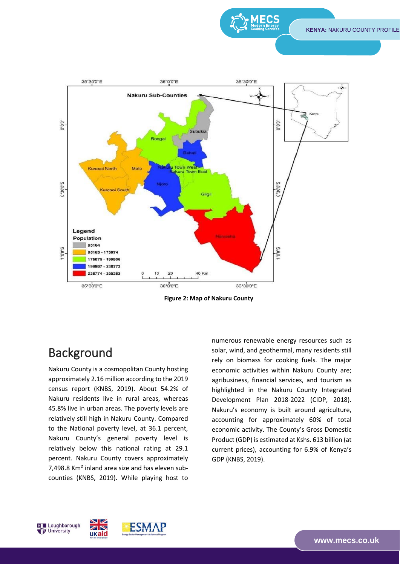**KENYA:** NAKURU COUNTY PROFILE



**Figure 2: Map of Nakuru County**

# Background

Nakuru County is a cosmopolitan County hosting approximately 2.16 million according to the 2019 census report (KNBS, 2019). About 54.2% of Nakuru residents live in rural areas, whereas 45.8% live in urban areas. The poverty levels are relatively still high in Nakuru County. Compared to the National poverty level, at 36.1 percent, Nakuru County's general poverty level is relatively below this national rating at 29.1 percent. Nakuru County covers approximately 7,498.8 Km² inland area size and has eleven subcounties (KNBS, 2019). While playing host to

numerous renewable energy resources such as solar, wind, and geothermal, many residents still rely on biomass for cooking fuels. The major economic activities within Nakuru County are; agribusiness, financial services, and tourism as highlighted in the Nakuru County Integrated Development Plan 2018-2022 (CIDP, 2018). Nakuru's economy is built around agriculture, accounting for approximately 60% of total economic activity. The County's Gross Domestic Product (GDP) is estimated at Kshs. 613 billion (at current prices), accounting for 6.9% of Kenya's GDP (KNBS, 2019).



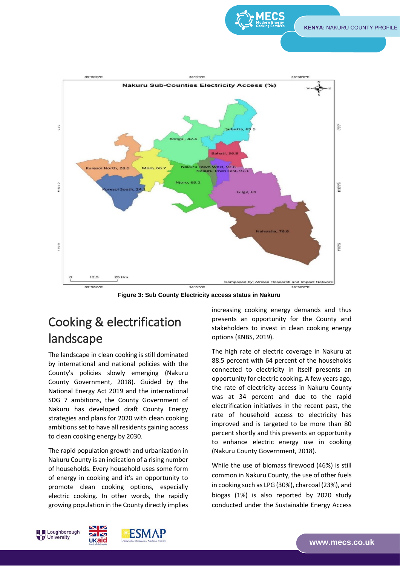

TRANSITIONS



**Figure 3: Sub County Electricity access status in Nakuru**

# Cooking & electrification landscape

The landscape in clean cooking is still dominated by international and national policies with the County's policies slowly emerging (Nakuru County Government, 2018). Guided by the National Energy Act 2019 and the international SDG 7 ambitions, the County Government of Nakuru has developed draft County Energy strategies and plans for 2020 with clean cooking ambitions set to have all residents gaining access to clean cooking energy by 2030.

The rapid population growth and urbanization in Nakuru County is an indication of a rising number of households. Every household uses some form of energy in cooking and it's an opportunity to promote clean cooking options, especially electric cooking. In other words, the rapidly growing population in the County directly implies

increasing cooking energy demands and thus presents an opportunity for the County and stakeholders to invest in clean cooking energy options (KNBS, 2019).

The high rate of electric coverage in Nakuru at 88.5 percent with 64 percent of the households connected to electricity in itself presents an opportunity for electric cooking. A few years ago, the rate of electricity access in Nakuru County was at 34 percent and due to the rapid electrification initiatives in the recent past, the rate of household access to electricity has improved and is targeted to be more than 80 percent shortly and this presents an opportunity to enhance electric energy use in cooking (Nakuru County Government, 2018).

While the use of biomass firewood (46%) is still common in Nakuru County, the use of other fuels in cooking such as LPG (30%), charcoal (23%), and biogas (1%) is also reported by 2020 study conducted under the Sustainable Energy Access

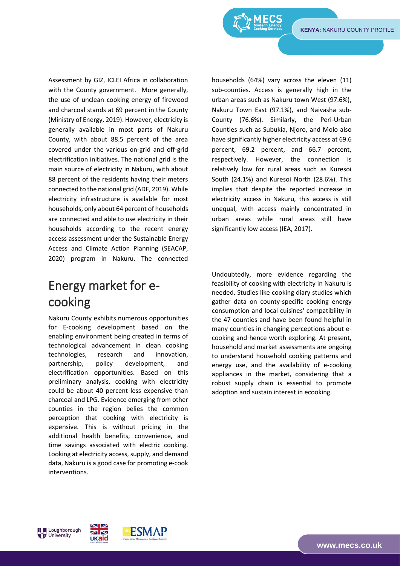**KENYA:** NAKURU COUNTY PROFILE

TRANSITIONS

Assessment by GIZ, ICLEI Africa in collaboration with the County government. More generally, the use of unclean cooking energy of firewood and charcoal stands at 69 percent in the County (Ministry of Energy, 2019). However, electricity is generally available in most parts of Nakuru County, with about 88.5 percent of the area covered under the various on-grid and off-grid electrification initiatives. The national grid is the main source of electricity in Nakuru, with about 88 percent of the residents having their meters connected to the national grid (ADF, 2019). While electricity infrastructure is available for most households, only about 64 percent of households are connected and able to use electricity in their households according to the recent energy access assessment under the Sustainable Energy Access and Climate Action Planning (SEACAP, 2020) program in Nakuru. The connected

# Energy market for ecooking

Nakuru County exhibits numerous opportunities for E-cooking development based on the enabling environment being created in terms of technological advancement in clean cooking technologies, research and innovation, partnership, policy development, and electrification opportunities. Based on this preliminary analysis, cooking with electricity could be about 40 percent less expensive than charcoal and LPG. Evidence emerging from other counties in the region belies the common perception that cooking with electricity is expensive. This is without pricing in the additional health benefits, convenience, and time savings associated with electric cooking. Looking at electricity access, supply, and demand data, Nakuru is a good case for promoting e-cook interventions.

households (64%) vary across the eleven (11) sub-counties. Access is generally high in the urban areas such as Nakuru town West (97.6%), Nakuru Town East (97.1%), and Naivasha sub-County (76.6%). Similarly, the Peri-Urban Counties such as Subukia, Njoro, and Molo also have significantly higher electricity access at 69.6 percent, 69.2 percent, and 66.7 percent, respectively. However, the connection is relatively low for rural areas such as Kuresoi South (24.1%) and Kuresoi North (28.6%). This implies that despite the reported increase in electricity access in Nakuru, this access is still unequal, with access mainly concentrated in urban areas while rural areas still have significantly low access (IEA, 2017).

Undoubtedly, more evidence regarding the feasibility of cooking with electricity in Nakuru is needed. Studies like cooking diary studies which gather data on county-specific cooking energy consumption and local cuisines' compatibility in the 47 counties and have been found helpful in many counties in changing perceptions about ecooking and hence worth exploring. At present, household and market assessments are ongoing to understand household cooking patterns and energy use, and the availability of e-cooking appliances in the market, considering that a robust supply chain is essential to promote adoption and sustain interest in ecooking.



ukaid

**www.mecs[.co.](http://www.mecs.co.uk/)uk**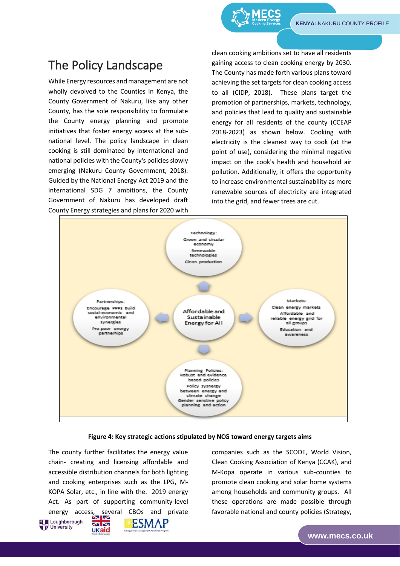TRANSITIONS

## The Policy Landscape

While Energy resources and management are not wholly devolved to the Counties in Kenya, the County Government of Nakuru, like any other County, has the sole responsibility to formulate the County energy planning and promote initiatives that foster energy access at the subnational level. The policy landscape in clean cooking is still dominated by international and national policies with the County's policies slowly emerging (Nakuru County Government, 2018). Guided by the National Energy Act 2019 and the international SDG 7 ambitions, the County Government of Nakuru has developed draft County Energy strategies and plans for 2020 with

clean cooking ambitions set to have all residents gaining access to clean cooking energy by 2030. The County has made forth various plans toward achieving the set targets for clean cooking access to all (CIDP, 2018). These plans target the promotion of partnerships, markets, technology, and policies that lead to quality and sustainable energy for all residents of the county (CCEAP 2018-2023) as shown below. Cooking with electricity is the cleanest way to cook (at the point of use), considering the minimal negative impact on the cook's health and household air pollution. Additionally, it offers the opportunity to increase environmental sustainability as more renewable sources of electricity are integrated into the grid, and fewer trees are cut.



#### **Figure 4: Key strategic actions stipulated by NCG toward energy targets aims**

The county further facilitates the energy value chain- creating and licensing affordable and accessible distribution channels for both lighting and cooking enterprises such as the LPG, M-KOPA Solar, etc., in line with the. 2019 energy Act. As part of supporting community-level energy access, several CBOs and private





companies such as the SCODE, World Vision, Clean Cooking Association of Kenya (CCAK), and M-Kopa operate in various sub-counties to promote clean cooking and solar home systems among households and community groups. All these operations are made possible through favorable national and county policies (Strategy,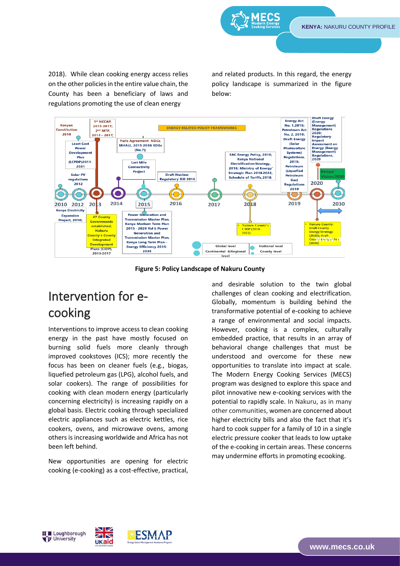**KENYA:** NAKURU COUNTY PROFILE

2018). While clean cooking energy access relies on the other policies in the entire value chain, the County has been a beneficiary of laws and regulations promoting the use of clean energy

and related products. In this regard, the energy policy landscape is summarized in the figure below:



**Figure 5: Policy Landscape of Nakuru County**

# Intervention for ecooking

Interventions to improve access to clean cooking energy in the past have mostly focused on burning solid fuels more cleanly through improved cookstoves (ICS); more recently the focus has been on cleaner fuels (e.g., biogas, liquefied petroleum gas (LPG), alcohol fuels, and solar cookers). The range of possibilities for cooking with clean modern energy (particularly concerning electricity) is increasing rapidly on a global basis. Electric cooking through specialized electric appliances such as electric kettles, rice cookers, ovens, and microwave ovens, among others is increasing worldwide and Africa has not been left behind.

New opportunities are opening for electric cooking (e-cooking) as a cost-effective, practical,

 $\blacksquare$ 

ZK

**UKaid** 

and desirable solution to the twin global challenges of clean cooking and electrification. Globally, momentum is building behind the transformative potential of e-cooking to achieve a range of environmental and social impacts. However, cooking is a complex, culturally embedded practice, that results in an array of behavioral change challenges that must be understood and overcome for these new opportunities to translate into impact at scale. The Modern Energy Cooking Services (MECS) program was designed to explore this space and pilot innovative new e-cooking services with the potential to rapidly scale. In Nakuru, as in many other communities, women are concerned about higher electricity bills and also the fact that it's hard to cook supper for a family of 10 in a single electric pressure cooker that leads to low uptake of the e-cooking in certain areas. These concerns may undermine efforts in promoting ecooking.





**www.mecs[.co.](http://www.mecs.co.uk/)uk**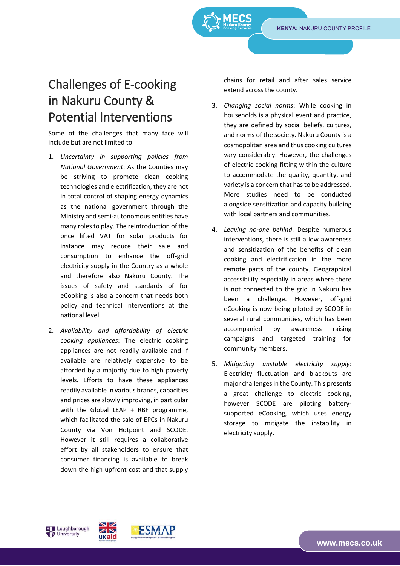# Challenges of E-cooking in Nakuru County & Potential Interventions

Some of the challenges that many face will include but are not limited to

- 1. *Uncertainty in supporting policies from National Government*: As the Counties may be striving to promote clean cooking technologies and electrification, they are not in total control of shaping energy dynamics as the national government through the Ministry and semi-autonomous entities have many roles to play. The reintroduction of the once lifted VAT for solar products for instance may reduce their sale and consumption to enhance the off-grid electricity supply in the Country as a whole and therefore also Nakuru County. The issues of safety and standards of for eCooking is also a concern that needs both policy and technical interventions at the national level.
- 2. *Availability and affordability of electric cooking appliances*: The electric cooking appliances are not readily available and if available are relatively expensive to be afforded by a majority due to high poverty levels. Efforts to have these appliances readily available in various brands, capacities and prices are slowly improving, in particular with the Global LEAP  $+$  RBF programme, which facilitated the sale of EPCs in Nakuru County via Von Hotpoint and SCODE. However it still requires a collaborative effort by all stakeholders to ensure that consumer financing is available to break down the high upfront cost and that supply

chains for retail and after sales service extend across the county.

- 3. *Changing social norms*: While cooking in households is a physical event and practice, they are defined by social beliefs, cultures, and norms of the society. Nakuru County is a cosmopolitan area and thus cooking cultures vary considerably. However, the challenges of electric cooking fitting within the culture to accommodate the quality, quantity, and variety is a concern that has to be addressed. More studies need to be conducted alongside sensitization and capacity building with local partners and communities.
- 4. *Leaving no-one behind*: Despite numerous interventions, there is still a low awareness and sensitization of the benefits of clean cooking and electrification in the more remote parts of the county. Geographical accessibility especially in areas where there is not connected to the grid in Nakuru has been a challenge. However, off-grid eCooking is now being piloted by SCODE in several rural communities, which has been accompanied by awareness raising campaigns and targeted training for community members.
- 5. *Mitigating unstable electricity supply*: Electricity fluctuation and blackouts are major challenges in the County. This presents a great challenge to electric cooking, however SCODE are piloting batterysupported eCooking, which uses energy storage to mitigate the instability in electricity supply.